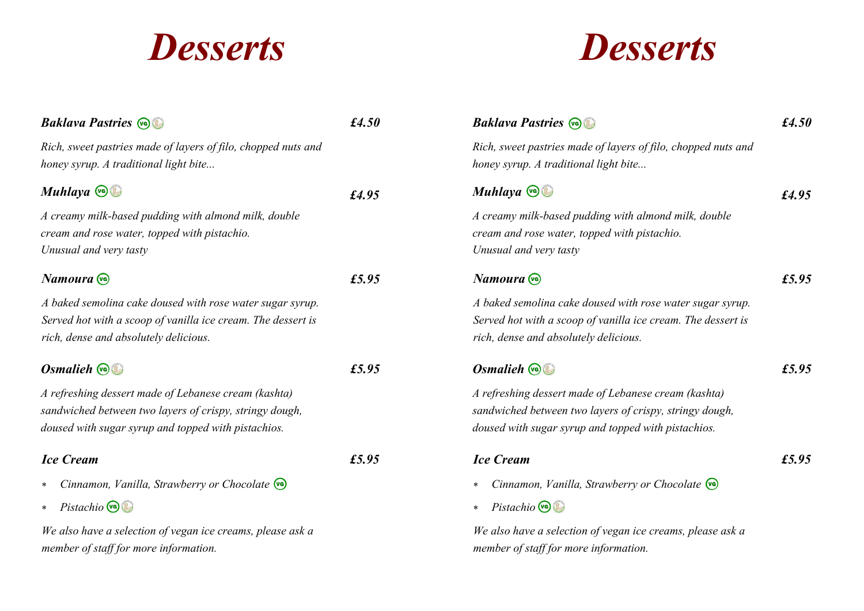## *Desserts*

## *Desserts*

| <b>Baklava Pastries @</b>                                                                                                                                              | £4.50 | <b>Baklava Pastries @</b>                                                                                                                                              | $\pounds4.50$ |
|------------------------------------------------------------------------------------------------------------------------------------------------------------------------|-------|------------------------------------------------------------------------------------------------------------------------------------------------------------------------|---------------|
| Rich, sweet pastries made of layers of filo, chopped nuts and<br>honey syrup. A traditional light bite                                                                 |       | Rich, sweet pastries made of layers of filo, chopped nuts and<br>honey syrup. A traditional light bite                                                                 |               |
| Muhlaya Co                                                                                                                                                             | £4.95 | Muhlaya $\mathbf{\odot}$                                                                                                                                               | £4.95         |
| A creamy milk-based pudding with almond milk, double<br>cream and rose water, topped with pistachio.<br>Unusual and very tasty                                         |       | A creamy milk-based pudding with almond milk, double<br>cream and rose water, topped with pistachio.<br>Unusual and very tasty                                         |               |
| Namoura vo                                                                                                                                                             | £5.95 | Namoura <sup>vo</sup>                                                                                                                                                  | £5.95         |
| A baked semolina cake doused with rose water sugar syrup.<br>Served hot with a scoop of vanilla ice cream. The dessert is<br>rich, dense and absolutely delicious.     |       | A baked semolina cake doused with rose water sugar syrup.<br>Served hot with a scoop of vanilla ice cream. The dessert is<br>rich, dense and absolutely delicious.     |               |
| Osmalieh $\mathbb{Q}$                                                                                                                                                  | £5.95 | Osmalieh $\mathbb{Q}$                                                                                                                                                  | £5.95         |
| A refreshing dessert made of Lebanese cream (kashta)<br>sandwiched between two layers of crispy, stringy dough,<br>doused with sugar syrup and topped with pistachios. |       | A refreshing dessert made of Lebanese cream (kashta)<br>sandwiched between two layers of crispy, stringy dough,<br>doused with sugar syrup and topped with pistachios. |               |
| <b>Ice Cream</b>                                                                                                                                                       | £5.95 | <b>Ice Cream</b>                                                                                                                                                       | £5.95         |
| Cinnamon, Vanilla, Strawberry or Chocolate (va)<br>$\ast$                                                                                                              |       | Cinnamon, Vanilla, Strawberry or Chocolate (va)<br>$\ast$                                                                                                              |               |
| * Pistachio                                                                                                                                                            |       | Pistachio $\bigcirc$<br>$\ast$                                                                                                                                         |               |
| We also have a selection of vegan ice creams, please ask a<br>member of staff for more information.                                                                    |       | We also have a selection of vegan ice creams, please ask a<br>member of staff for more information.                                                                    |               |